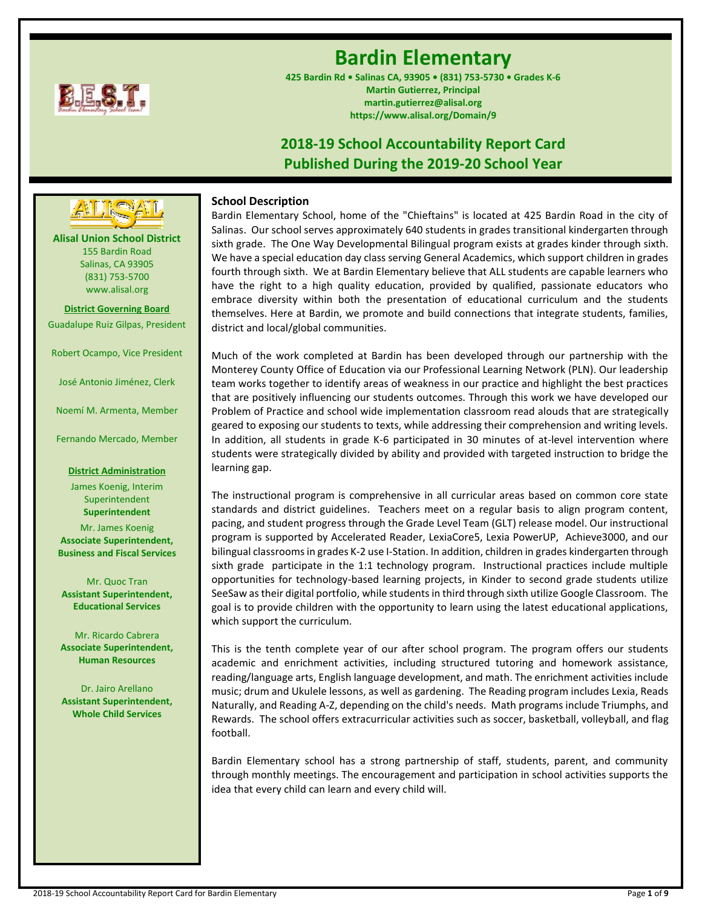

# **Bardin Elementary**

**425 Bardin Rd • Salinas CA, 93905 • (831) 753-5730 • Grades K-6 Martin Gutierrez, Principal martin.gutierrez@alisal.org https://www.alisal.org/Domain/9**

## **2018-19 School Accountability Report Card Published During the 2019-20 School Year**

## **School Description**

Bardin Elementary School, home of the "Chieftains" is located at 425 Bardin Road in the city of Salinas. Our school serves approximately 640 students in grades transitional kindergarten through sixth grade. The One Way Developmental Bilingual program exists at grades kinder through sixth. We have a special education day class serving General Academics, which support children in grades fourth through sixth. We at Bardin Elementary believe that ALL students are capable learners who have the right to a high quality education, provided by qualified, passionate educators who embrace diversity within both the presentation of educational curriculum and the students themselves. Here at Bardin, we promote and build connections that integrate students, families, district and local/global communities.

Much of the work completed at Bardin has been developed through our partnership with the Monterey County Office of Education via our Professional Learning Network (PLN). Our leadership team works together to identify areas of weakness in our practice and highlight the best practices that are positively influencing our students outcomes. Through this work we have developed our Problem of Practice and school wide implementation classroom read alouds that are strategically geared to exposing our students to texts, while addressing their comprehension and writing levels. In addition, all students in grade K-6 participated in 30 minutes of at-level intervention where students were strategically divided by ability and provided with targeted instruction to bridge the learning gap.

The instructional program is comprehensive in all curricular areas based on common core state standards and district guidelines. Teachers meet on a regular basis to align program content, pacing, and student progress through the Grade Level Team (GLT) release model. Our instructional program is supported by Accelerated Reader, LexiaCore5, Lexia PowerUP, Achieve3000, and our bilingual classrooms in grades K-2 use I-Station. In addition, children in grades kindergarten through sixth grade participate in the 1:1 technology program. Instructional practices include multiple opportunities for technology-based learning projects, in Kinder to second grade students utilize SeeSaw as their digital portfolio, while students in third through sixth utilize Google Classroom. The goal is to provide children with the opportunity to learn using the latest educational applications, which support the curriculum.

This is the tenth complete year of our after school program. The program offers our students academic and enrichment activities, including structured tutoring and homework assistance, reading/language arts, English language development, and math. The enrichment activities include music; drum and Ukulele lessons, as well as gardening. The Reading program includes Lexia, Reads Naturally, and Reading A-Z, depending on the child's needs. Math programs include Triumphs, and Rewards. The school offers extracurricular activities such as soccer, basketball, volleyball, and flag football.

Bardin Elementary school has a strong partnership of staff, students, parent, and community through monthly meetings. The encouragement and participation in school activities supports the idea that every child can learn and every child will.

**Alisal Union School District** 155 Bardin Road Salinas, CA 93905 (831) 753-5700 www.alisal.org **---- ----**

**District Governing Board** Guadalupe Ruiz Gilpas, President

Robert Ocampo, Vice President

José Antonio Jiménez, Clerk

Noemí M. Armenta, Member

Fernando Mercado, Member

#### **District Administration**

James Koenig, Interim Superintendent **Superintendent**

Mr. James Koenig **Associate Superintendent, Business and Fiscal Services**

Mr. Quoc Tran **Assistant Superintendent, Educational Services**

Mr. Ricardo Cabrera **Associate Superintendent, Human Resources**

Dr. Jairo Arellano **Assistant Superintendent, Whole Child Services**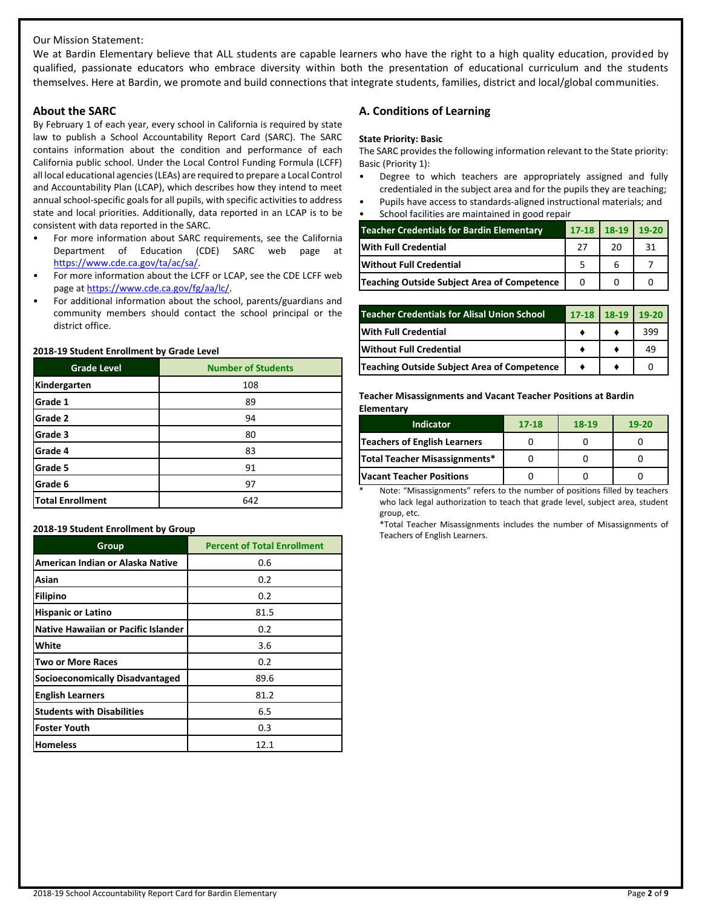## Our Mission Statement:

We at Bardin Elementary believe that ALL students are capable learners who have the right to a high quality education, provided by qualified, passionate educators who embrace diversity within both the presentation of educational curriculum and the students themselves. Here at Bardin, we promote and build connections that integrate students, families, district and local/global communities.

#### **About the SARC**

By February 1 of each year, every school in California is required by state law to publish a School Accountability Report Card (SARC). The SARC contains information about the condition and performance of each California public school. Under the Local Control Funding Formula (LCFF) all local educational agencies (LEAs) are required to prepare a Local Control and Accountability Plan (LCAP), which describes how they intend to meet annual school-specific goals for all pupils, with specific activities to address state and local priorities. Additionally, data reported in an LCAP is to be consistent with data reported in the SARC.

- For more information about SARC requirements, see the California Department of Education (CDE) SARC web page at [https://www.cde.ca.gov/ta/ac/sa/.](https://www.cde.ca.gov/ta/ac/sa/)
- For more information about the LCFF or LCAP, see the CDE LCFF web page at [https://www.cde.ca.gov/fg/aa/lc/.](https://www.cde.ca.gov/fg/aa/lc/)
- For additional information about the school, parents/guardians and community members should contact the school principal or the district office.

#### **2018-19 Student Enrollment by Grade Level**

| <b>Grade Level</b>      | <b>Number of Students</b> |
|-------------------------|---------------------------|
| Kindergarten            | 108                       |
| Grade 1                 | 89                        |
| Grade 2                 | 94                        |
| Grade 3                 | 80                        |
| Grade 4                 | 83                        |
| Grade 5                 | 91                        |
| Grade 6                 | 97                        |
| <b>Total Enrollment</b> | 642                       |

#### **2018-19 Student Enrollment by Group**

| Group                                      | <b>Percent of Total Enrollment</b> |
|--------------------------------------------|------------------------------------|
| American Indian or Alaska Native           | 0.6                                |
| Asian                                      | 0.2                                |
| Filipino                                   | 0.2                                |
| <b>Hispanic or Latino</b>                  | 81.5                               |
| <b>Native Hawaiian or Pacific Islander</b> | 0.2                                |
| White                                      | 3.6                                |
| <b>Two or More Races</b>                   | 0.2                                |
| Socioeconomically Disadvantaged            | 89.6                               |
| <b>English Learners</b>                    | 81.2                               |
| <b>Students with Disabilities</b>          | 6.5                                |
| <b>Foster Youth</b>                        | 0.3                                |
| <b>Homeless</b>                            | 12.1                               |

## **A. Conditions of Learning**

#### **State Priority: Basic**

The SARC provides the following information relevant to the State priority: Basic (Priority 1):

- Degree to which teachers are appropriately assigned and fully credentialed in the subject area and for the pupils they are teaching;
- Pupils have access to standards-aligned instructional materials; and
- School facilities are maintained in good repair

| <b>Teacher Credentials for Bardin Elementary</b> | $17-18$ 18-19 | 19-20 |
|--------------------------------------------------|---------------|-------|
| <b>With Full Credential</b>                      | 20            | 31    |
| lWithout Full Credential                         |               |       |
| Teaching Outside Subject Area of Competence      |               |       |

| <b>Teacher Credentials for Alisal Union School</b> | $17-18$ 18-19 | $19-20$ |
|----------------------------------------------------|---------------|---------|
| With Full Credential                               |               | 399     |
| <b>Without Full Credential</b>                     |               | 49      |
| Teaching Outside Subject Area of Competence        |               |         |

#### **Teacher Misassignments and Vacant Teacher Positions at Bardin Elementary**

| <b>Indicator</b>                    | 17-18 | $18-19$ | $19 - 20$ |
|-------------------------------------|-------|---------|-----------|
| <b>Teachers of English Learners</b> |       |         |           |
| Total Teacher Misassignments*       |       |         |           |
| <b>Vacant Teacher Positions</b>     |       |         |           |

Note: "Misassignments" refers to the number of positions filled by teachers who lack legal authorization to teach that grade level, subject area, student group, etc.

\*Total Teacher Misassignments includes the number of Misassignments of Teachers of English Learners.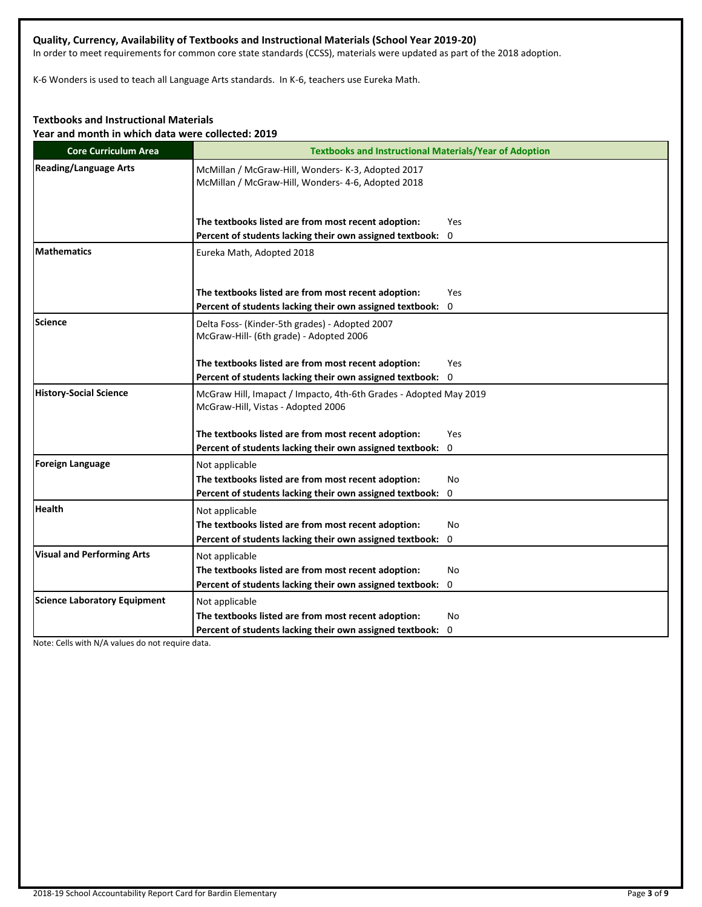## **Quality, Currency, Availability of Textbooks and Instructional Materials (School Year 2019-20)**

In order to meet requirements for common core state standards (CCSS), materials were updated as part of the 2018 adoption.

K-6 Wonders is used to teach all Language Arts standards. In K-6, teachers use Eureka Math.

## **Textbooks and Instructional Materials**

**Year and month in which data were collected: 2019**

| <b>Core Curriculum Area</b>         | <b>Textbooks and Instructional Materials/Year of Adoption</b>                                            |
|-------------------------------------|----------------------------------------------------------------------------------------------------------|
| <b>Reading/Language Arts</b>        | McMillan / McGraw-Hill, Wonders- K-3, Adopted 2017<br>McMillan / McGraw-Hill, Wonders- 4-6, Adopted 2018 |
|                                     | The textbooks listed are from most recent adoption:<br>Yes                                               |
|                                     | Percent of students lacking their own assigned textbook:<br>0                                            |
| <b>Mathematics</b>                  | Eureka Math, Adopted 2018                                                                                |
|                                     | The textbooks listed are from most recent adoption:<br><b>Yes</b>                                        |
|                                     | Percent of students lacking their own assigned textbook: 0                                               |
| <b>Science</b>                      | Delta Foss- (Kinder-5th grades) - Adopted 2007<br>McGraw-Hill- (6th grade) - Adopted 2006                |
|                                     | The textbooks listed are from most recent adoption:<br><b>Yes</b>                                        |
|                                     | Percent of students lacking their own assigned textbook: 0                                               |
| <b>History-Social Science</b>       | McGraw Hill, Imapact / Impacto, 4th-6th Grades - Adopted May 2019<br>McGraw-Hill, Vistas - Adopted 2006  |
|                                     | The textbooks listed are from most recent adoption:<br>Yes                                               |
|                                     | Percent of students lacking their own assigned textbook: 0                                               |
| <b>Foreign Language</b>             | Not applicable                                                                                           |
|                                     | The textbooks listed are from most recent adoption:<br>No                                                |
|                                     | Percent of students lacking their own assigned textbook:<br>0                                            |
| <b>Health</b>                       | Not applicable                                                                                           |
|                                     | The textbooks listed are from most recent adoption:<br>No                                                |
|                                     | Percent of students lacking their own assigned textbook:<br>0                                            |
| <b>Visual and Performing Arts</b>   | Not applicable                                                                                           |
|                                     | The textbooks listed are from most recent adoption:<br>No                                                |
|                                     | Percent of students lacking their own assigned textbook:<br>0                                            |
| <b>Science Laboratory Equipment</b> | Not applicable                                                                                           |
|                                     | The textbooks listed are from most recent adoption:<br>No                                                |
|                                     | Percent of students lacking their own assigned textbook: 0                                               |

Note: Cells with N/A values do not require data.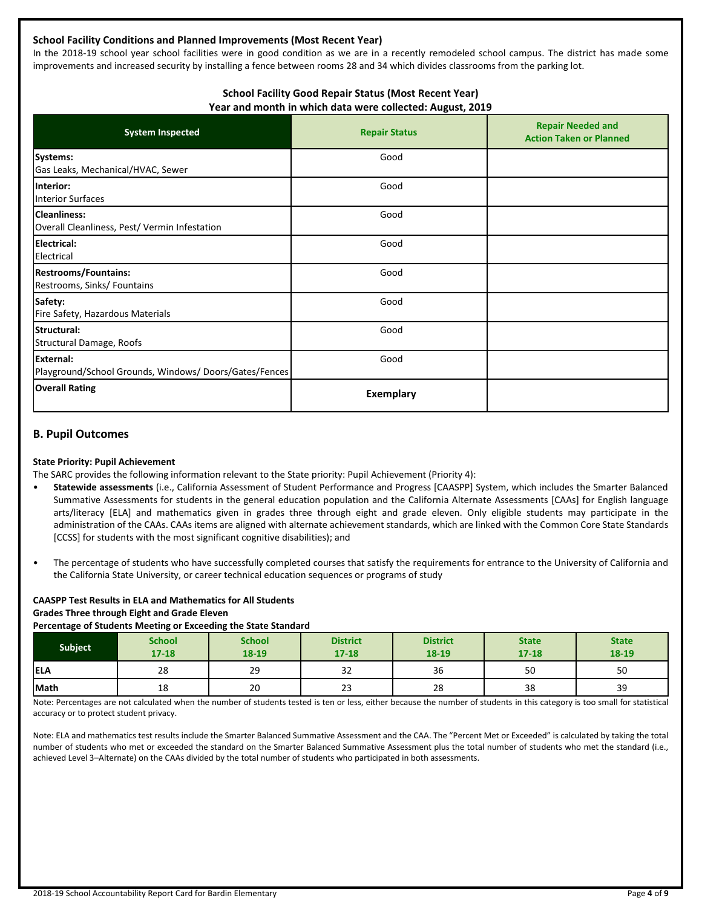## **School Facility Conditions and Planned Improvements (Most Recent Year)**

In the 2018-19 school year school facilities were in good condition as we are in a recently remodeled school campus. The district has made some improvements and increased security by installing a fence between rooms 28 and 34 which divides classrooms from the parking lot.

#### **School Facility Good Repair Status (Most Recent Year) Year and month in which data were collected: August, 2019**

| <b>System Inspected</b>                                                   | ັ<br><b>Repair Status</b> | <b>Repair Needed and</b><br><b>Action Taken or Planned</b> |
|---------------------------------------------------------------------------|---------------------------|------------------------------------------------------------|
| Systems:<br>Gas Leaks, Mechanical/HVAC, Sewer                             | Good                      |                                                            |
| Interior:<br><b>Interior Surfaces</b>                                     | Good                      |                                                            |
| <b>Cleanliness:</b><br>Overall Cleanliness, Pest/ Vermin Infestation      | Good                      |                                                            |
| <b>Electrical:</b><br>Electrical                                          | Good                      |                                                            |
| <b>Restrooms/Fountains:</b><br>Restrooms, Sinks/ Fountains                | Good                      |                                                            |
| Safety:<br>Fire Safety, Hazardous Materials                               | Good                      |                                                            |
| Structural:<br>Structural Damage, Roofs                                   | Good                      |                                                            |
| <b>External:</b><br>Playground/School Grounds, Windows/Doors/Gates/Fences | Good                      |                                                            |
| <b>Overall Rating</b>                                                     | <b>Exemplary</b>          |                                                            |

#### **B. Pupil Outcomes**

#### **State Priority: Pupil Achievement**

The SARC provides the following information relevant to the State priority: Pupil Achievement (Priority 4):

- **Statewide assessments** (i.e., California Assessment of Student Performance and Progress [CAASPP] System, which includes the Smarter Balanced Summative Assessments for students in the general education population and the California Alternate Assessments [CAAs] for English language arts/literacy [ELA] and mathematics given in grades three through eight and grade eleven. Only eligible students may participate in the administration of the CAAs. CAAs items are aligned with alternate achievement standards, which are linked with the Common Core State Standards [CCSS] for students with the most significant cognitive disabilities); and
- The percentage of students who have successfully completed courses that satisfy the requirements for entrance to the University of California and the California State University, or career technical education sequences or programs of study

## **CAASPP Test Results in ELA and Mathematics for All Students**

**Grades Three through Eight and Grade Eleven**

#### **Percentage of Students Meeting or Exceeding the State Standard**

| <b>Subject</b> | <b>School</b><br>$17 - 18$ | <b>School</b><br>18-19 | <b>District</b><br>$17 - 18$ | <b>District</b><br>18-19 | <b>State</b><br>$17 - 18$ | <b>State</b><br>18-19 |
|----------------|----------------------------|------------------------|------------------------------|--------------------------|---------------------------|-----------------------|
| <b>ELA</b>     | 28                         | 29                     | $\sim$<br>32                 | 36                       | 50                        | 50                    |
| Math           | 18                         | 20                     | $\sim$<br>دے                 | 28                       | 38                        | 39                    |

Note: Percentages are not calculated when the number of students tested is ten or less, either because the number of students in this category is too small for statistical accuracy or to protect student privacy.

Note: ELA and mathematics test results include the Smarter Balanced Summative Assessment and the CAA. The "Percent Met or Exceeded" is calculated by taking the total number of students who met or exceeded the standard on the Smarter Balanced Summative Assessment plus the total number of students who met the standard (i.e., achieved Level 3–Alternate) on the CAAs divided by the total number of students who participated in both assessments.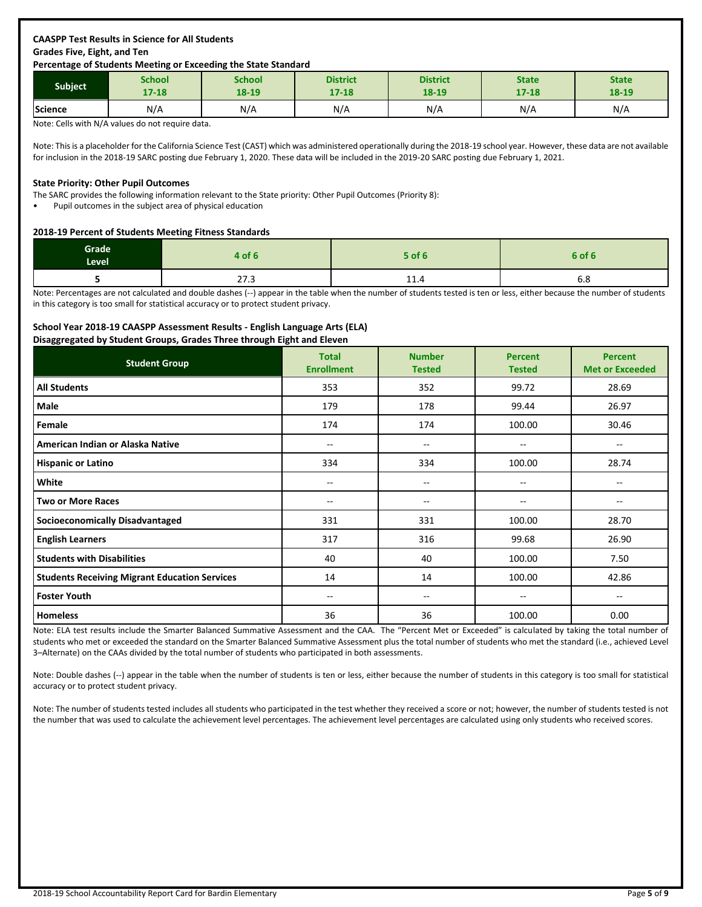## **CAASPP Test Results in Science for All Students Grades Five, Eight, and Ten**

#### **Percentage of Students Meeting or Exceeding the State Standard**

| <b>Subject</b> | School    | School | <b>District</b> | <b>District</b> | <b>State</b> | <b>State</b> |
|----------------|-----------|--------|-----------------|-----------------|--------------|--------------|
|                | $17 - 18$ | 18-19  | $17 - 18$       | 18-19           | $17 - 18$    | 18-19        |
| Science        | N/A       | N/A    | N/A             | N/A             | N/A          | N/A          |

Note: Cells with N/A values do not require data.

Note: This is a placeholder for the California Science Test (CAST) which was administered operationally during the 2018-19 school year. However, these data are not available for inclusion in the 2018-19 SARC posting due February 1, 2020. These data will be included in the 2019-20 SARC posting due February 1, 2021.

#### **State Priority: Other Pupil Outcomes**

The SARC provides the following information relevant to the State priority: Other Pupil Outcomes (Priority 8):

• Pupil outcomes in the subject area of physical education

#### **2018-19 Percent of Students Meeting Fitness Standards**

| Grade<br>Level | 4 of 6             | <b>5 of 6</b> | 6 of 6 |
|----------------|--------------------|---------------|--------|
|                | $\sim$ $-$<br>21.3 | 11.4          | ხ.8    |

Note: Percentages are not calculated and double dashes (--) appear in the table when the number of students tested is ten or less, either because the number of students in this category is too small for statistical accuracy or to protect student privacy.

#### **School Year 2018-19 CAASPP Assessment Results - English Language Arts (ELA)**

#### **Disaggregated by Student Groups, Grades Three through Eight and Eleven**

| <b>Student Group</b>                                 | <b>Total</b><br><b>Enrollment</b> | <b>Number</b><br><b>Tested</b> | <b>Percent</b><br><b>Tested</b> | <b>Percent</b><br><b>Met or Exceeded</b> |
|------------------------------------------------------|-----------------------------------|--------------------------------|---------------------------------|------------------------------------------|
| <b>All Students</b>                                  | 353                               | 352                            | 99.72                           | 28.69                                    |
| Male                                                 | 179                               | 178                            | 99.44                           | 26.97                                    |
| Female                                               | 174                               | 174                            | 100.00                          | 30.46                                    |
| American Indian or Alaska Native                     | --                                | $-$                            | --                              | $\hspace{0.05cm}$                        |
| <b>Hispanic or Latino</b>                            | 334                               | 334                            | 100.00                          | 28.74                                    |
| White                                                | --                                | $-$                            | --                              | --                                       |
| <b>Two or More Races</b>                             | $- -$                             | --                             | $- -$                           | $\overline{\phantom{m}}$                 |
| <b>Socioeconomically Disadvantaged</b>               | 331                               | 331                            | 100.00                          | 28.70                                    |
| <b>English Learners</b>                              | 317                               | 316                            | 99.68                           | 26.90                                    |
| <b>Students with Disabilities</b>                    | 40                                | 40                             | 100.00                          | 7.50                                     |
| <b>Students Receiving Migrant Education Services</b> | 14                                | 14                             | 100.00                          | 42.86                                    |
| <b>Foster Youth</b>                                  | --                                | --                             | $- -$                           | $\overline{\phantom{m}}$                 |
| <b>Homeless</b>                                      | 36                                | 36                             | 100.00                          | 0.00                                     |

Note: ELA test results include the Smarter Balanced Summative Assessment and the CAA. The "Percent Met or Exceeded" is calculated by taking the total number of students who met or exceeded the standard on the Smarter Balanced Summative Assessment plus the total number of students who met the standard (i.e., achieved Level 3–Alternate) on the CAAs divided by the total number of students who participated in both assessments.

Note: Double dashes (--) appear in the table when the number of students is ten or less, either because the number of students in this category is too small for statistical accuracy or to protect student privacy.

Note: The number of students tested includes all students who participated in the test whether they received a score or not; however, the number of students tested is not the number that was used to calculate the achievement level percentages. The achievement level percentages are calculated using only students who received scores.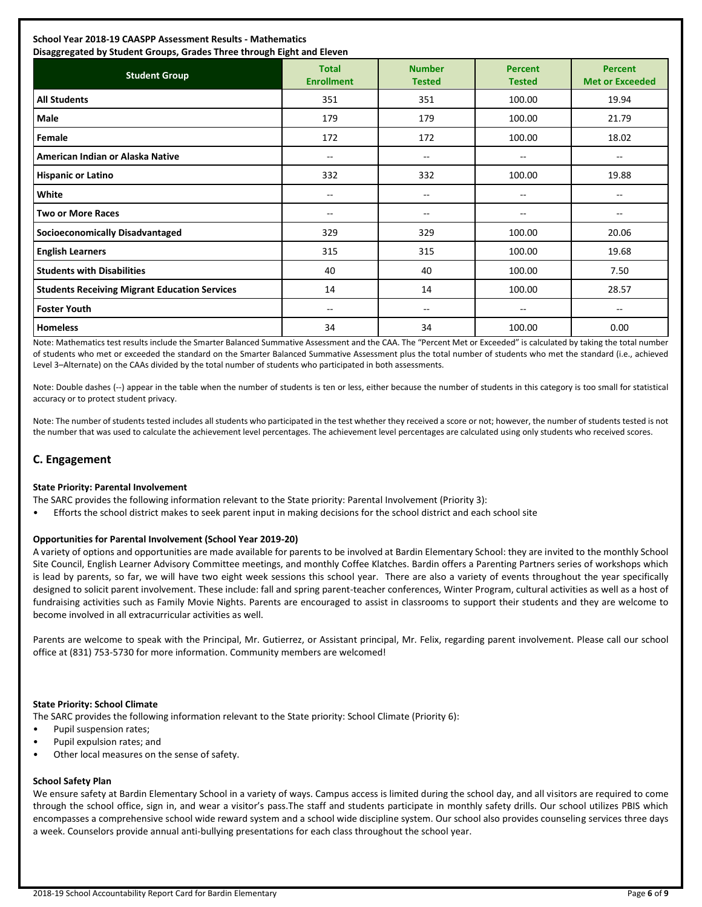## **School Year 2018-19 CAASPP Assessment Results - Mathematics**

| Disaggregated by Student Groups, Grades Three through Eight and Eleven |                                   |                                       |                                 |                                          |  |  |
|------------------------------------------------------------------------|-----------------------------------|---------------------------------------|---------------------------------|------------------------------------------|--|--|
| <b>Student Group</b>                                                   | <b>Total</b><br><b>Enrollment</b> | <b>Number</b><br><b>Tested</b>        | <b>Percent</b><br><b>Tested</b> | <b>Percent</b><br><b>Met or Exceeded</b> |  |  |
| <b>All Students</b>                                                    | 351                               | 351                                   | 100.00                          | 19.94                                    |  |  |
| Male                                                                   | 179                               | 179                                   | 100.00                          | 21.79                                    |  |  |
| Female                                                                 | 172                               | 172                                   | 100.00                          | 18.02                                    |  |  |
| American Indian or Alaska Native                                       | $\sim$                            | --                                    | $\overline{\phantom{a}}$        | $\overline{\phantom{a}}$                 |  |  |
| <b>Hispanic or Latino</b>                                              | 332                               | 332                                   | 100.00                          | 19.88                                    |  |  |
| White                                                                  | $\overline{\phantom{m}}$          | $\hspace{0.05cm}$ – $\hspace{0.05cm}$ | $\overline{\phantom{a}}$        | $\overline{\phantom{a}}$                 |  |  |
| <b>Two or More Races</b>                                               | $-$                               | --                                    | --                              | $-$                                      |  |  |
| <b>Socioeconomically Disadvantaged</b>                                 | 329                               | 329                                   | 100.00                          | 20.06                                    |  |  |
| <b>English Learners</b>                                                | 315                               | 315                                   | 100.00                          | 19.68                                    |  |  |
| <b>Students with Disabilities</b>                                      | 40                                | 40                                    | 100.00                          | 7.50                                     |  |  |
| <b>Students Receiving Migrant Education Services</b>                   | 14                                | 14                                    | 100.00                          | 28.57                                    |  |  |
| <b>Foster Youth</b>                                                    | $\overline{\phantom{m}}$          | --                                    | $\hspace{0.05cm}$               | --                                       |  |  |
| <b>Homeless</b>                                                        | 34                                | 34                                    | 100.00                          | 0.00                                     |  |  |

Note: Mathematics test results include the Smarter Balanced Summative Assessment and the CAA. The "Percent Met or Exceeded" is calculated by taking the total number of students who met or exceeded the standard on the Smarter Balanced Summative Assessment plus the total number of students who met the standard (i.e., achieved Level 3–Alternate) on the CAAs divided by the total number of students who participated in both assessments.

Note: Double dashes (--) appear in the table when the number of students is ten or less, either because the number of students in this category is too small for statistical accuracy or to protect student privacy.

Note: The number of students tested includes all students who participated in the test whether they received a score or not; however, the number of students tested is not the number that was used to calculate the achievement level percentages. The achievement level percentages are calculated using only students who received scores.

## **C. Engagement**

#### **State Priority: Parental Involvement**

The SARC provides the following information relevant to the State priority: Parental Involvement (Priority 3):

• Efforts the school district makes to seek parent input in making decisions for the school district and each school site

#### **Opportunities for Parental Involvement (School Year 2019-20)**

A variety of options and opportunities are made available for parents to be involved at Bardin Elementary School: they are invited to the monthly School Site Council, English Learner Advisory Committee meetings, and monthly Coffee Klatches. Bardin offers a Parenting Partners series of workshops which is lead by parents, so far, we will have two eight week sessions this school year. There are also a variety of events throughout the year specifically designed to solicit parent involvement. These include: fall and spring parent-teacher conferences, Winter Program, cultural activities as well as a host of fundraising activities such as Family Movie Nights. Parents are encouraged to assist in classrooms to support their students and they are welcome to become involved in all extracurricular activities as well.

Parents are welcome to speak with the Principal, Mr. Gutierrez, or Assistant principal, Mr. Felix, regarding parent involvement. Please call our school office at (831) 753-5730 for more information. Community members are welcomed!

#### **State Priority: School Climate**

The SARC provides the following information relevant to the State priority: School Climate (Priority 6):

- Pupil suspension rates;
- Pupil expulsion rates; and
- Other local measures on the sense of safety.

#### **School Safety Plan**

We ensure safety at Bardin Elementary School in a variety of ways. Campus access is limited during the school day, and all visitors are required to come through the school office, sign in, and wear a visitor's pass.The staff and students participate in monthly safety drills. Our school utilizes PBIS which encompasses a comprehensive school wide reward system and a school wide discipline system. Our school also provides counseling services three days a week. Counselors provide annual anti-bullying presentations for each class throughout the school year.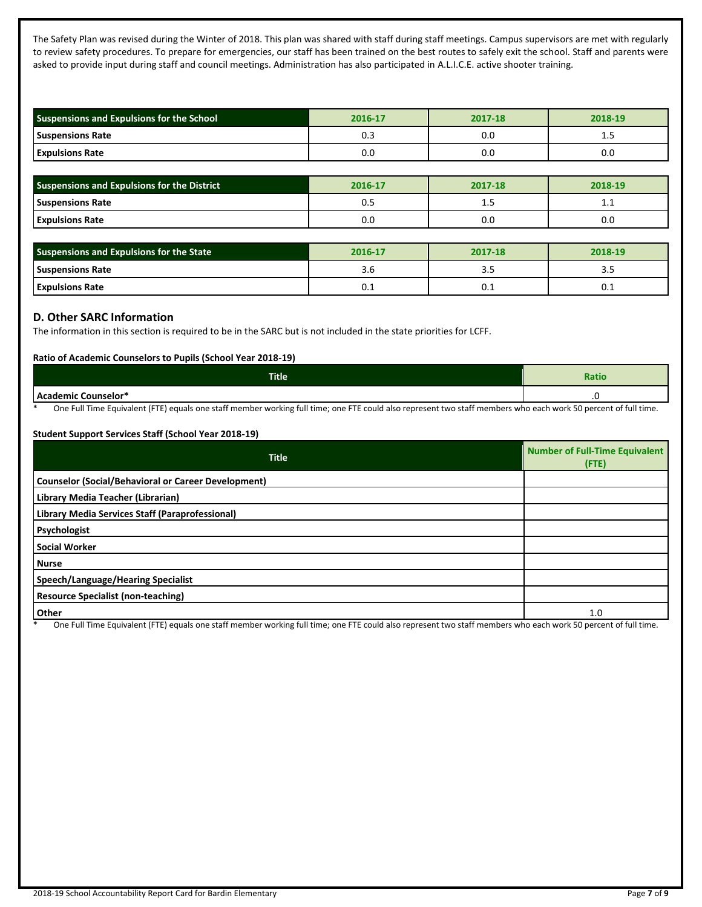The Safety Plan was revised during the Winter of 2018. This plan was shared with staff during staff meetings. Campus supervisors are met with regularly to review safety procedures. To prepare for emergencies, our staff has been trained on the best routes to safely exit the school. Staff and parents were asked to provide input during staff and council meetings. Administration has also participated in A.L.I.C.E. active shooter training.

| Suspensions and Expulsions for the School | 2016-17 | 2017-18 | 2018-19 |
|-------------------------------------------|---------|---------|---------|
| <b>Suspensions Rate</b>                   | υ.      | 0.O     | ر       |
| <b>Expulsions Rate</b>                    | 0.0     | 0.0     | 0.0     |

| <b>Suspensions and Expulsions for the District</b> | 2016-17 | 2017-18 | 2018-19 |
|----------------------------------------------------|---------|---------|---------|
| <b>Suspensions Rate</b>                            | U.J     | ב. ב    | <b></b> |
| <b>Expulsions Rate</b>                             | 0.0     | 0.0     | 0.0     |

| Suspensions and Expulsions for the State | 2016-17 | 2017-18 | 2018-19 |
|------------------------------------------|---------|---------|---------|
| <b>Suspensions Rate</b>                  | 5.0     |         | ---     |
| <b>Expulsions Rate</b>                   | ∪.⊥     | ∪.⊥     | ∪.⊥     |

## **D. Other SARC Information**

The information in this section is required to be in the SARC but is not included in the state priorities for LCFF.

## **Ratio of Academic Counselors to Pupils (School Year 2018-19)**

| <b>Title</b>                                                                                      | Ratio                             |  |
|---------------------------------------------------------------------------------------------------|-----------------------------------|--|
| $h_{\alpha}$<br>lemic Counselor*<br>. .                                                           | $\cdot$ $\sim$                    |  |
| $-$<br>$\sim$<br>.<br>$   -$<br>$\sim$<br>$\cdot$ $\cdot$<br>$\cdots$<br>____<br>$\sim$<br>$\sim$ | $\sim$ $\sim$ $\sim$ $\sim$<br>__ |  |

One Full Time Equivalent (FTE) equals one staff member working full time; one FTE could also represent two staff members who each work 50 percent of full time.

#### **Student Support Services Staff (School Year 2018-19)**

| <b>Title</b>                                               | <b>Number of Full-Time Equivalent</b><br>$($ FTE) |
|------------------------------------------------------------|---------------------------------------------------|
| <b>Counselor (Social/Behavioral or Career Development)</b> |                                                   |
| Library Media Teacher (Librarian)                          |                                                   |
| Library Media Services Staff (Paraprofessional)            |                                                   |
| Psychologist                                               |                                                   |
| <b>Social Worker</b>                                       |                                                   |
| <b>Nurse</b>                                               |                                                   |
| Speech/Language/Hearing Specialist                         |                                                   |
| <b>Resource Specialist (non-teaching)</b>                  |                                                   |
| Other                                                      | 1.0                                               |

One Full Time Equivalent (FTE) equals one staff member working full time; one FTE could also represent two staff members who each work 50 percent of full time.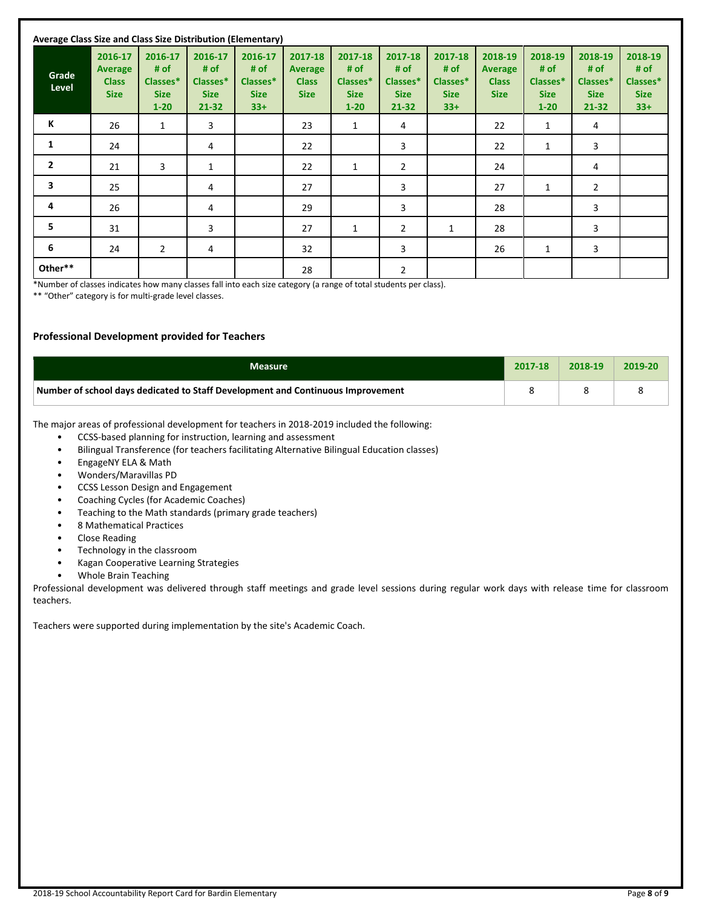| Average Class Size and Class Size Distribution (Elementary) |                                                          |                                                        |                                                         |                                                     |                                                          |                                                        |                                                     |                                                     |                                                          |                                                        |                                                         |                                                     |
|-------------------------------------------------------------|----------------------------------------------------------|--------------------------------------------------------|---------------------------------------------------------|-----------------------------------------------------|----------------------------------------------------------|--------------------------------------------------------|-----------------------------------------------------|-----------------------------------------------------|----------------------------------------------------------|--------------------------------------------------------|---------------------------------------------------------|-----------------------------------------------------|
| Grade<br>Level                                              | 2016-17<br><b>Average</b><br><b>Class</b><br><b>Size</b> | 2016-17<br># of<br>Classes*<br><b>Size</b><br>$1 - 20$ | 2016-17<br># of<br>Classes*<br><b>Size</b><br>$21 - 32$ | 2016-17<br># of<br>Classes*<br><b>Size</b><br>$33+$ | 2017-18<br><b>Average</b><br><b>Class</b><br><b>Size</b> | 2017-18<br># of<br>Classes*<br><b>Size</b><br>$1 - 20$ | 2017-18<br># of<br>Classes*<br><b>Size</b><br>21-32 | 2017-18<br># of<br>Classes*<br><b>Size</b><br>$33+$ | 2018-19<br><b>Average</b><br><b>Class</b><br><b>Size</b> | 2018-19<br># of<br>Classes*<br><b>Size</b><br>$1 - 20$ | 2018-19<br># of<br>Classes*<br><b>Size</b><br>$21 - 32$ | 2018-19<br># of<br>Classes*<br><b>Size</b><br>$33+$ |
| К                                                           | 26                                                       | 1                                                      | 3                                                       |                                                     | 23                                                       | $\mathbf{1}$                                           | 4                                                   |                                                     | 22                                                       | $\mathbf{1}$                                           | 4                                                       |                                                     |
| $\mathbf{1}$                                                | 24                                                       |                                                        | 4                                                       |                                                     | 22                                                       |                                                        | 3                                                   |                                                     | 22                                                       | $\mathbf{1}$                                           | 3                                                       |                                                     |
| $\overline{2}$                                              | 21                                                       | 3                                                      | 1                                                       |                                                     | 22                                                       | $\mathbf{1}$                                           | 2                                                   |                                                     | 24                                                       |                                                        | 4                                                       |                                                     |
| 3                                                           | 25                                                       |                                                        | 4                                                       |                                                     | 27                                                       |                                                        | 3                                                   |                                                     | 27                                                       | $\mathbf{1}$                                           | $\overline{2}$                                          |                                                     |
| 4                                                           | 26                                                       |                                                        | 4                                                       |                                                     | 29                                                       |                                                        | 3                                                   |                                                     | 28                                                       |                                                        | 3                                                       |                                                     |
| 5                                                           | 31                                                       |                                                        | 3                                                       |                                                     | 27                                                       | 1                                                      | $\overline{2}$                                      | $\mathbf{1}$                                        | 28                                                       |                                                        | 3                                                       |                                                     |
| 6                                                           | 24                                                       | 2                                                      | 4                                                       |                                                     | 32                                                       |                                                        | 3                                                   |                                                     | 26                                                       | 1                                                      | 3                                                       |                                                     |
| Other**                                                     |                                                          |                                                        |                                                         |                                                     | 28                                                       |                                                        | 2                                                   |                                                     |                                                          |                                                        |                                                         |                                                     |

\*Number of classes indicates how many classes fall into each size category (a range of total students per class).

\*\* "Other" category is for multi-grade level classes.

#### **Professional Development provided for Teachers**

| <b>Measure</b>                                                                  | 2017-18 | 2018-19 | 2019-20 |
|---------------------------------------------------------------------------------|---------|---------|---------|
| Number of school days dedicated to Staff Development and Continuous Improvement |         |         |         |

The major areas of professional development for teachers in 2018-2019 included the following:

- CCSS-based planning for instruction, learning and assessment
- Bilingual Transference (for teachers facilitating Alternative Bilingual Education classes)
- EngageNY ELA & Math
- Wonders/Maravillas PD
- CCSS Lesson Design and Engagement
- Coaching Cycles (for Academic Coaches)
- Teaching to the Math standards (primary grade teachers)
- 8 Mathematical Practices
- Close Reading
- Technology in the classroom
- Kagan Cooperative Learning Strategies
- Whole Brain Teaching

Professional development was delivered through staff meetings and grade level sessions during regular work days with release time for classroom teachers.

Teachers were supported during implementation by the site's Academic Coach.